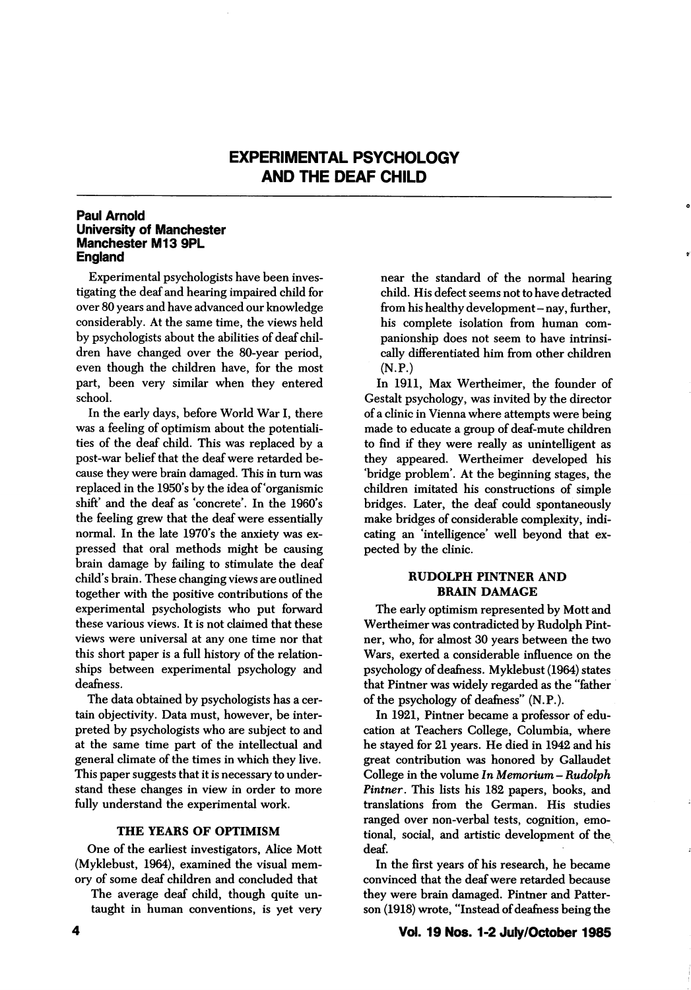# EXPERIMENTAL PSYCHOLOGY AND THE DEAF CHILD

## Paul Arnold University of Manchester Manchester M13 9PL **England**

Experimental psychologists have been inves tigating the deaf and hearing impaired child for over 80 years and have advanced our knowledge considerably. At the same time, the views held by psychologists about the abilities of deaf chil dren have changed over the 80-year period, even though the children have, for the most part, been very similar when they entered school.

In the early days, before World War I, there was a feeling of optimism about the potentiali ties of the deaf child. This was replaced by a post-war belief that the deaf were retarded be cause they were brain damaged. This in turn was replaced in the 1950's by the idea of'organismic shift' and the deaf as 'concrete'. In the 1960's the feeling grew that the deaf were essentially normal. In the late 1970's the anxiety was expressed that oral methods might be causing brain damage by failing to stimulate the deaf child's brain. These changing views are outlined together with the positive contributions of the experimental psychologists who put forward these various views. It is not claimed that these views were universal at any one time nor that this short paper is a full history of the relation ships between experimental psychology and deafness.

The data obtained by psychologists has a cer tain objectivity. Data must, however, be inter preted by psychologists who are subject to and at the same time part of the intellectual and general climate of the times in which they live. This paper suggests that it is necessary to under stand these changes in view in order to more fully understand the experimental work.

### THE YEARS OF OPTIMISM

One of the earliest investigators, Alice Mott (Myklebust, 1964), examined the visual mem ory of some deaf children and concluded that

The average deaf child, though quite un taught in human conventions, is yet very near the standard of the normal hearing child. His defect seems not to have detracted from his healthy development - nay, further, his complete isolation from human com panionship does not seem to have intrinsi cally differentiated him from other children  $(N.P.)$ 

In 1911, Max Wertheimer, the founder of Gestalt psychology, was invited by the director of a clinic in Vienna where attempts were being made to educate a group of deaf-mute children to find if they were really as unintelligent as they appeared. Wertheimer developed his 'bridge problem\*. At the beginning stages, the children imitated his constructions of simple bridges. Later, the deaf could spontaneously make bridges of considerable complexity, indi cating an 'intelligence' well beyond that expected by the clinic.

## RUDOLPH PINTNER AND **BRAIN DAMAGE**

The early optimism represented by Mott and Wertheimer was contradicted by Rudolph Pintner, who, for almost 30 years between the two Wars, exerted a considerable influence on the psychology of deafness. Myklebust (1964) states that Pintner was widely regarded as the "father of the psychology of deafness"  $(N.P.).$ 

In 1921, Pintner became a professor of edu cation at Teachers College, Columbia, where he stayed for 21 years. He died in 1942 and his great contribution was honored by Callaudet College in the volume  $\ln M$ emorium - Rudolph Pintner. This lists his 182 papers, books, and translations from the German. His studies ranged over non-verbal tests, cognition, emo tional, social, and artistic development of the^ deaf.

In the first years of his research, he became convinced that the deaf were retarded because they were brain damaged. Pintner and Patter son (1918) wrote, "Instead of deafness being the

### Vol. 19 Nos. 1-2 July/October 1985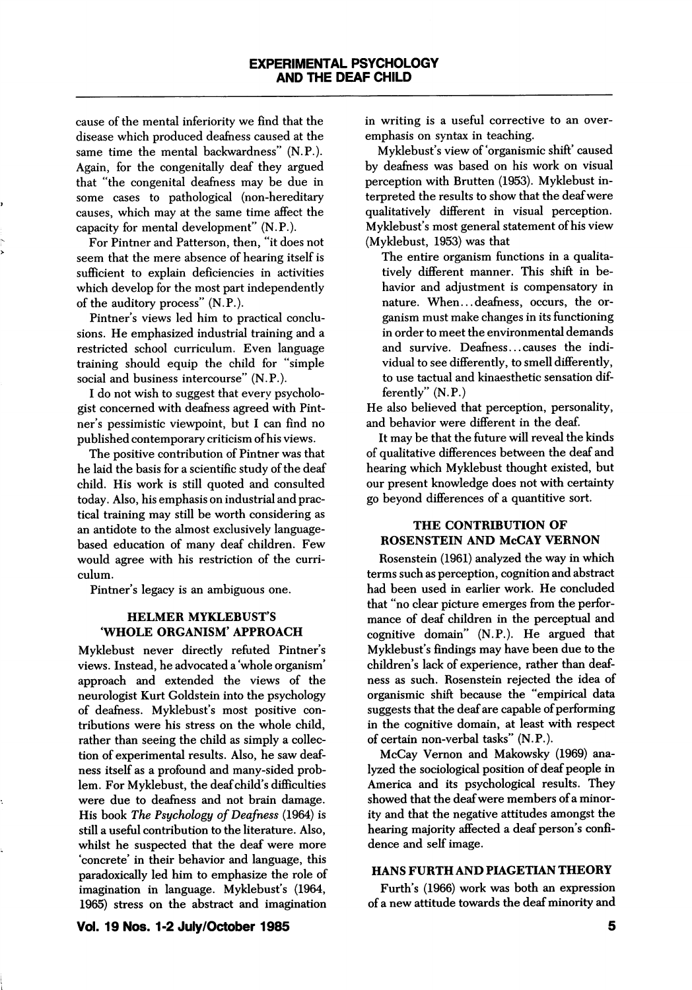cause of the mental inferiority we find that the disease which produced deafness caused at the same time the mental backwardness" (N.P.). Again, for the congenitally deaf they argued that "the congenital deafness may be due in some cases to pathological (non-hereditary causes, which may at the same time affect the capacity for mental development" (N.P.).

For Pintner and Patterson, then, "it does not seem that the mere absence of hearing itself is sufficient to explain deficiencies in activities which develop for the most part independently of the auditory process" (N.P.).

Pintner's views led him to practical conclu sions. He emphasized industrial training and a restricted school curriculum. Even language training should equip the child for "simple social and business intercourse" (N.P.).

I do not wish to suggest that every psycholo gist concerned with deafness agreed with Pint ner's pessimistic viewpoint, but I can find no published contemporary criticism of his views.

The positive contribution of Pintner was that he laid the basis for a scientific study of the deaf child. His work is still quoted and consulted today. Also, his emphasis on industrial and prac tical training may still be worth considering as an antidote to the almost exclusively languagebased education of many deaf children. Few would agree with his restriction of the curri culum.

Pintner's legacy is an ambiguous one.

### HELMER MYKLEBUST'S WHOLE ORGANISM' APPROACH

Myklebust never directly refuted Pintner's views. Instead, he advocated a 'whole organism' approach and extended the views of the neurologist Kurt Goldstein into the psychology of deafness. Myklebust's most positive con tributions were his stress on the whole child, rather than seeing the child as simply a collec tion of experimental results. Also, he saw deaf ness itself as a profound and many-sided prob lem. For Myklebust, the deaf child's difficulties were due to deafness and not brain damage. His book The Psychology of Deafness (1964) is still a useful contribution to the literature. Also, whilst he suspected that the deaf were more 'concrete' in their behavior and language, this paradoxically led him to emphasize the role of imagination in language. Myklebust's (1964, 1965) stress on the abstract and imagination in writing is a useful corrective to an over emphasis on syntax in teaching.

Myklebust's view of 'organismic shift' caused by deafness was based on his work on visual perception with Brutten (1953). Myklebust in terpreted the results to show that the deaf were qualitatively different in visual perception. Myklebust's most general statement of his view (Myklebust, 1953) was that

The entire organism functions in a qualita tively different manner. This shift in be havior and adjustment is compensatory in nature. When...deafness, occurs, the or ganism must make changes in its functioning in order to meet the environmental demands and survive. Deafness... causes the indi vidual to see differently, to smell differently, to use tactual and kinaesthetic sensation dif ferently" (N.P.)

He also believed that perception, personality, and behavior were different in the deaf.

It may be that the future will reveal the kinds of qualitative differences between the deaf and hearing which Myklebust thought existed, but our present knowledge does not with certainty go beyond differences of a quantitive sort.

# THE CONTRIBUTION OF ROSENSTEIN AND McCAY VERNON

Rosenstein (1961) analyzed the way in which terms such as perception, cognition and abstract had been used in earlier work. He concluded that "no clear picture emerges from the perfor mance of deaf children in the perceptual and cognitive domain" (N.P.). He argued that Myklebust's findings may have been due to the children's lack of experience, rather than deaf ness as such. Rosenstein rejected the idea of organismic shift because the "empirical data suggests that the deaf are capable of performing in the cognitive domain, at least with respect of certain non-verbal tasks" (N.P.).

McCay Vemon and Makowsky (1969) ana lyzed the sociological position of deaf people in America and its psychological results. They showed that the deaf were members of a minor ity and that the negative attitudes amongst the hearing majority affected a deaf person's confi dence and self image.

# HANS FURTH AND PIAGETIAN THEORY

Furth's (1966) work was both an expression of a new attitude towards the deaf minority and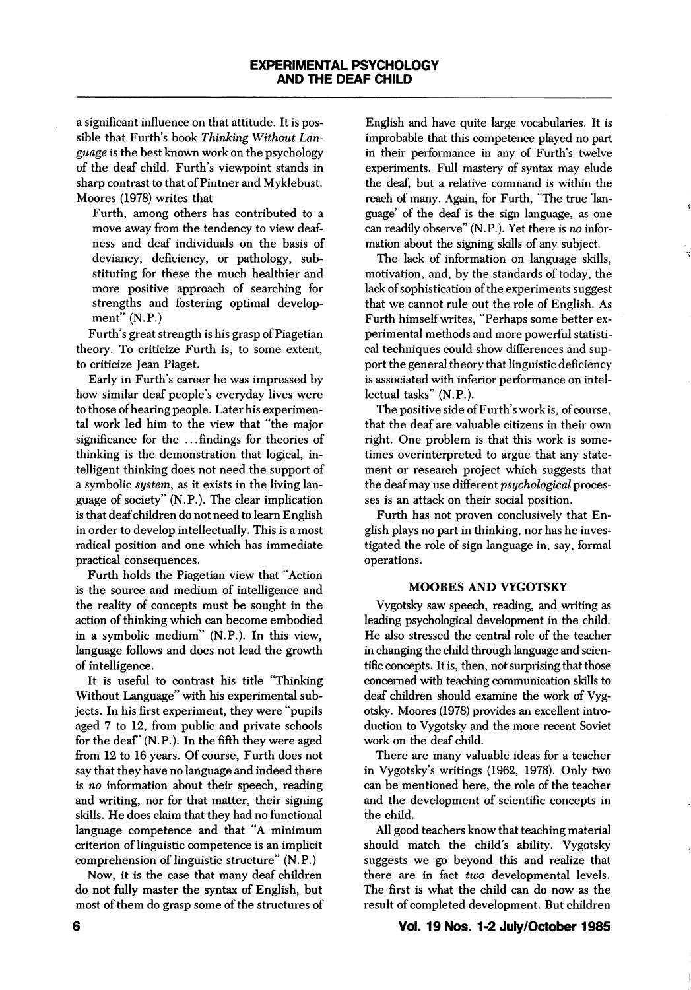a significant influence on that attitude. It is pos sible that Furth's book Thinking Without Lan guage is the best known work on the psychology of the deaf child. Furth's viewpoint stands in sharp contrast to that of Pintner and Myklebust. Moores (1978) writes that

Furth, among others has contributed to a move away from the tendency to view deaf ness and deaf individuals on the basis of deviancy, deficiency, or pathology, sub stituting for these the much healthier and more positive approach of searching for strengths and fostering optimal develop ment"  $(N.P.)$ 

Furth's great strength is his grasp of Piagetian theory. To criticize Furth is, to some extent, to criticize Jean Piaget.

Early in Furth's career he was impressed by how similar deaf people's everyday lives were to those of hearing people. Later his experimen tal work led him to the view that "the major significance for the ... findings for theories of thinking is the demonstration that logical, in telligent thinking does not need the support of a symbolic system, as it exists in the living language of society" (N.P.). The clear implication is that deaf children do not need to leam English in order to develop intellectually. This is a most radical position and one which has immediate practical consequences.

Furth holds the Piagetian view that "Action is the source and medium of intelligence and the reality of concepts must be sought in the action of thinking which can become embodied in a symbolic medium" (N.P.). In this view, language follows and does not lead the growth of intelligence.

It is useful to contrast his title "Thinking Without Language" with his experimental sub jects. In his first experiment, they were "pupils aged 7 to 12, from public and private schools for the deaf' (N.P.). In the fifth they were aged from 12 to 16 years. Of course, Furth does not say that they have no language and indeed there is no information about their speech, reading and writing, nor for that matter, their signing skills. He does claim that they had no functional language competence and that "A minimum criterion of linguistic competence is an implicit comprehension of linguistic structure" (N.P.)

Now, it is the case that many deaf children do not fully master the syntax of English, but most of them do grasp some of the structures of

English and have quite large vocabularies. It is improbable that this competence played no part in their performance in any of Furth's twelve experiments. Full mastery of syntax may elude the deaf, but a relative command is within the reach of many. Again, for Furth, "The true lan guage' of the deaf is the sign language, as one can readily observe" (N.P.). Yet there is no infor mation about the signing skills of any subject.

The lack of information on language skills, motivation, and, by the standards of today, the lack of sophistication of the experiments suggest that we cannot rule out the role of English. As Furth himself writes, "Perhaps some better ex perimental methods and more powerful statisti cal techniques could show differences and sup port the general theory that linguistic deficiency is associated with inferior performance on intel lectual tasks" (N.P.).

The positive side of Furth's work is, of course, that the deaf are valuable citizens in their own right. One problem is that this work is some times overinterpreted to argue that any state ment or research project which suggests that the deaf may use different *psychological* processes is an attack on their social position.

Furth has not proven conclusively that En glish plays no part in thinking, nor has he inves tigated the role of sign language in, say, formal operations.

### MOORES AND VYGOTSKY

Vygotsky saw speech, reading, and writing as leading psychological development in the child. He also stressed the central role of the teacher in changing the child through language and scien tific concepts. It is, then, not surprising that those concerned with teaching communication skills to deaf children should examine the work of Vyg otsky. Moores (1978) provides an excellent intro duction to Vygotsky and the more recent Soviet work on the deaf child.

There are many valuable ideas for a teacher in Vygotsky's writings (1962, 1978). Only two can be mentioned here, the role of the teacher and the development of scientific concepts in the child.

All good teachers know that teaching material should match the child's ability. Vygotsky suggests we go beyond this and realize that there are in fact two developmental levels. The first is what the child can do now as the result of completed development. But children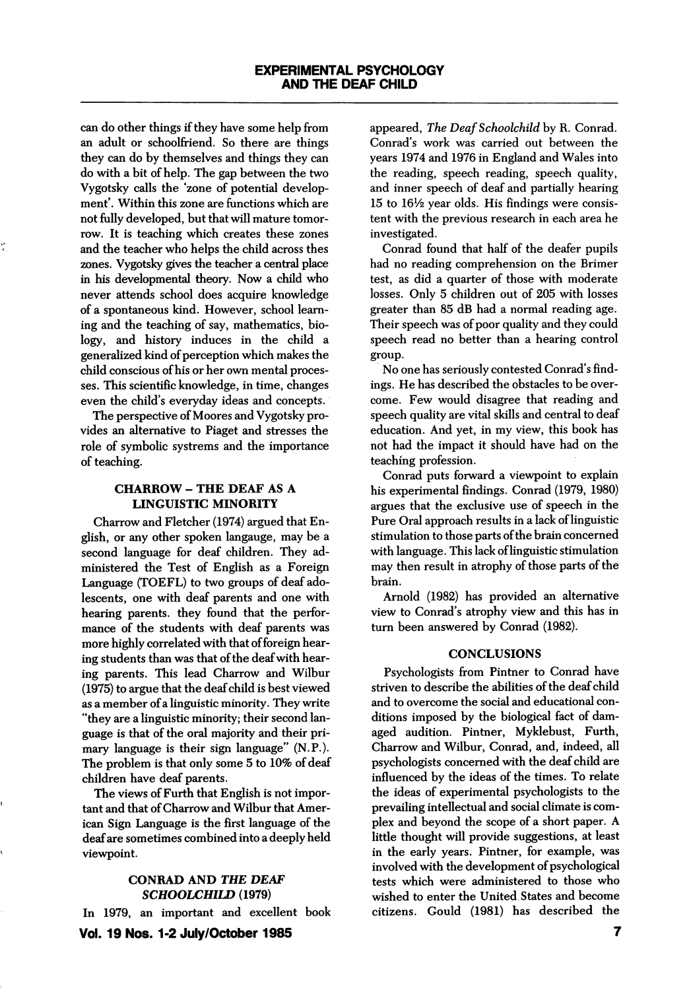can do other things if they have some help from an adult or schoolfriend. So there are things they can do by themselves and things they can do with a bit of help. The gap between the two Vygotsky calls the 'zone of potential develop ment'. Within this zone are functions which are not fully developed, but that will mature tomor row. It is teaching which creates these zones and the teacher who helps the child across thes zones. Vygotsky gives the teacher a central place in his developmental theory. Now a child who never attends school does acquire knowledge of a spontaneous kind. However, school learn ing and the teaching of say, mathematics, bio logy, and history induces in the child a generalized kind of perception which makes the child conscious of his or her own mental proces ses. This scientific knowledge, in time, changes even the child's everyday ideas and concepts.

The perspective of Moores and Vygotsky pro vides an alternative to Piaget and stresses the role of symbolic systrems and the importance of teaching.

# CHARROW - THE DEAF AS A LINGUISTIC MINORITY

Charrow and Fletcher (1974) argued that En glish, or any other spoken langauge, may be a second language for deaf children. They ad ministered the Test of English as a Foreign Language (TOEFL) to two groups of deaf ado lescents, one with deaf parents and one with hearing parents, they found that the perfor mance of the students with deaf parents was more highly correlated with that of foreign hear ing students than was that of the deaf with hear ing parents. This lead Charrow and Wilbur (1975) to argue that the deaf child is best viewed as a member of a linguistic minority. They write "they are a linguistic minority; their second lan guage is that of the oral majority and their pri mary language is their sign language" (N.P.). The problem is that only some 5 to 10% of deaf children have deaf parents.

The views of Furth that English is not impor tant and that of Charrow and Wilbur that Amer ican Sign Language is the first language of the deaf are sometimes combined into a deeply held viewpoint.

## CONRAD AND THE DEAF SCHOOLCHILD (1979)

In 1979, an important and excellent book

appeared. The Deaf Schoolchild by R. Conrad. Conrad's work was carried out between the years 1974 and 1976 in England and Wales into the reading, speech reading, speech quality, and inner speech of deaf and partially hearing  $15$  to  $16\frac{1}{2}$  year olds. His findings were consistent with the previous research in each area he investigated.

Conrad found that half of the deafer pupils had no reading comprehension on the Brimer test, as did a quarter of those with moderate losses. Only 5 children out of 205 with losses greater than 85 dB had a normal reading age. Their speech was of poor quality and they could speech read no better than a hearing control group.

No one has seriously contested Conrad's find ings. He has described the obstacles to be over come. Few would disagree that reading and speech quality are vital skills and central to deaf education. And yet, in my view, this book has not had the impact it should have had on the teaching profession.

Conrad puts forward a viewpoint to explain his experimental findings. Conrad (1979, 1980) argues that the exclusive use of speech in the Pure Oral approach results in a lack of linguistic stimulation to those parts of the brain concerned with language. This lack of linguistic stimulation may then result in atrophy of those parts of the brain.

Arnold (1982) has provided an alternative view to Conrad's atrophy view and this has in turn been answered by Conrad (1982).

### **CONCLUSIONS**

Psychologists from Pintner to Conrad have striven to describe the abilities of the deaf child and to overcome the social and educational con ditions imposed by the biological fact of dam aged audition. Pintner, Myklebust, Furth, Charrow and Wilbur, Conrad, and, indeed, all psychologists concerned with the deaf child are influenced by the ideas of the times. To relate the ideas of experimental psychologists to the prevailing intellectual and social climate is com plex and beyond the scope of a short paper. A little thought will provide suggestions, at least in the early years. Pintner, for example, was involved with the development of psychological tests which were administered to those who wished to enter the United States and become citizens. Gould (1981) has described the